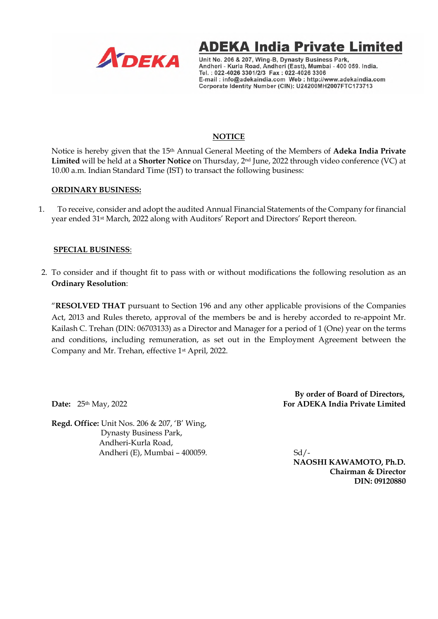



Unit No. 206 & 207, Wing-B, Dynasty Business Park, Andheri - Kurla Road, Andheri (East), Mumbai - 400 059. India. Tel.: 022-4026 3301/2/3 Fax: 022-4026 3306 E-mail: info@adekaindia.com Web: http://www.adekaindia.com Corporate Identity Number (CIN): U24200MH2007FTC173713

## **NOTICE**

Notice is hereby given that the 15th Annual General Meeting of the Members of **Adeka India Private Limited** will be held at a **Shorter Notice** on Thursday, 2nd June, 2022 through video conference (VC) at 10.00 a.m. Indian Standard Time (IST) to transact the following business:

#### **ORDINARY BUSINESS:**

1. To receive, consider and adopt the audited Annual Financial Statements of the Company for financial year ended 31st March, 2022 along with Auditors' Report and Directors' Report thereon.

#### **SPECIAL BUSINESS**:

2. To consider and if thought fit to pass with or without modifications the following resolution as an **Ordinary Resolution**:

"**RESOLVED THAT** pursuant to Section 196 and any other applicable provisions of the Companies Act, 2013 and Rules thereto, approval of the members be and is hereby accorded to re-appoint Mr. Kailash C. Trehan (DIN: 06703133) as a Director and Manager for a period of 1 (One) year on the terms and conditions, including remuneration, as set out in the Employment Agreement between the Company and Mr. Trehan, effective 1st April, 2022.

**Regd. Office:** Unit Nos. 206 & 207, 'B' Wing, Dynasty Business Park, Andheri-Kurla Road, Andheri (E), Mumbai – 400059. Sd/-

 **By order of Board of Directors, Date:** 25<sup>th</sup> May, 2022 **For ADEKA India Private Limited For ADEKA India Private Limited** 

> **NAOSHI KAWAMOTO, Ph.D. Chairman & Director DIN: 09120880**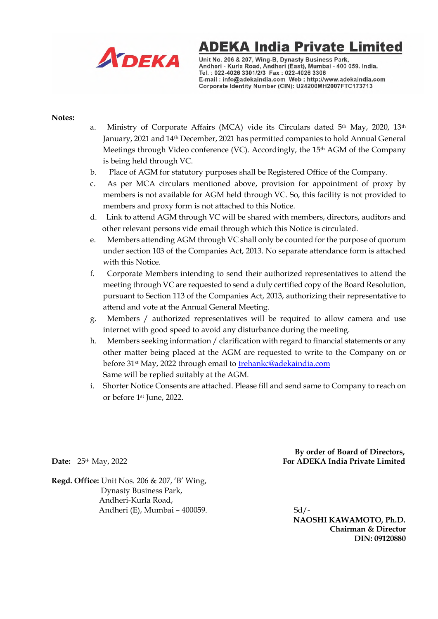

# **ADEKA India Private Limited**

Unit No. 206 & 207, Wing-B, Dynasty Business Park, Andheri - Kurla Road, Andheri (East), Mumbai - 400 059. India. Tel.: 022-4026 3301/2/3 Fax: 022-4026 3306 E-mail: info@adekaindia.com Web: http://www.adekaindia.com Corporate Identity Number (CIN): U24200MH2007FTC173713

#### **Notes:**

- a. Ministry of Corporate Affairs (MCA) vide its Circulars dated  $5<sup>th</sup>$  May, 2020, 13<sup>th</sup> January, 2021 and 14th December, 2021 has permitted companies to hold Annual General Meetings through Video conference (VC). Accordingly, the  $15<sup>th</sup>$  AGM of the Company is being held through VC.
- b. Place of AGM for statutory purposes shall be Registered Office of the Company.
- c. As per MCA circulars mentioned above, provision for appointment of proxy by members is not available for AGM held through VC. So, this facility is not provided to members and proxy form is not attached to this Notice.
- d. Link to attend AGM through VC will be shared with members, directors, auditors and other relevant persons vide email through which this Notice is circulated.
- e. Members attending AGM through VC shall only be counted for the purpose of quorum under section 103 of the Companies Act, 2013. No separate attendance form is attached with this Notice.
- f. Corporate Members intending to send their authorized representatives to attend the meeting through VC are requested to send a duly certified copy of the Board Resolution, pursuant to Section 113 of the Companies Act, 2013, authorizing their representative to attend and vote at the Annual General Meeting.
- g. Members / authorized representatives will be required to allow camera and use internet with good speed to avoid any disturbance during the meeting.
- h. Members seeking information / clarification with regard to financial statements or any other matter being placed at the AGM are requested to write to the Company on or before 31<sup>st</sup> May, 2022 through email to **trehankc@adekaindia.com** Same will be replied suitably at the AGM.
- i. Shorter Notice Consents are attached. Please fill and send same to Company to reach on or before 1st June, 2022.

 **By order of Board of Directors, Date:** 25th May, 2022 **For ADEKA India Private Limited** 

**Regd. Office:** Unit Nos. 206 & 207, 'B' Wing, Dynasty Business Park, Andheri-Kurla Road, Andheri (E), Mumbai – 400059. Sd/-

 **NAOSHI KAWAMOTO, Ph.D. Chairman & Director DIN: 09120880**